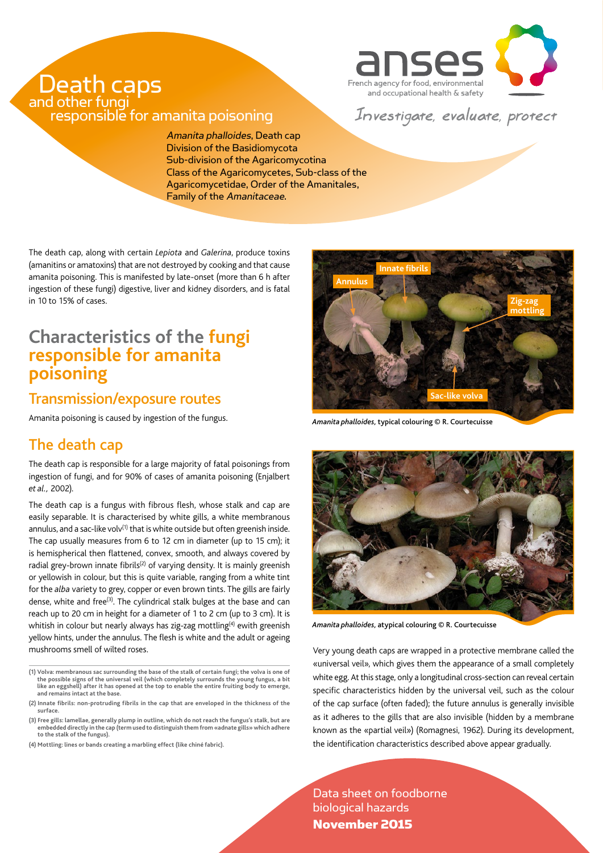

# Death caps responsible for amanita poisoning

Investigate, evaluate, protect

Amanita phalloides, Death cap Division of the Basidiomycota Sub-division of the Agaricomycotina Class of the Agaricomycetes, Sub-class of the Agaricomycetidae, Order of the Amanitales, Family of the Amanitaceae.

The death cap, along with certain *Lepiota* and *Galerina*, produce toxins (amanitins or amatoxins) that are not destroyed by cooking and that cause amanita poisoning. This is manifested by late-onset (more than 6 h after ingestion of these fungi) digestive, liver and kidney disorders, and is fatal in 10 to 15% of cases.

# **Characteristics of the fungi responsible for amanita poisoning**

### Transmission/exposure routes

Amanita poisoning is caused by ingestion of the fungus.

# The death cap

The death cap is responsible for a large majority of fatal poisonings from ingestion of fungi, and for 90% of cases of amanita poisoning (Enjalbert *et al.,* 2002).

The death cap is a fungus with fibrous flesh, whose stalk and cap are easily separable. It is characterised by white gills, a white membranous annulus, and a sac-like volv<sup>(1)</sup> that is white outside but often greenish inside. The cap usually measures from 6 to 12 cm in diameter (up to 15 cm); it is hemispherical then flattened, convex, smooth, and always covered by radial grey-brown innate fibrils<sup>(2)</sup> of varying density. It is mainly greenish or yellowish in colour, but this is quite variable, ranging from a white tint for the *alba* variety to grey, copper or even brown tints. The gills are fairly dense, white and free<sup>(3)</sup>. The cylindrical stalk bulges at the base and can reach up to 20 cm in height for a diameter of 1 to 2 cm (up to 3 cm). It is whitish in colour but nearly always has zig-zag mottling<sup>(4)</sup> ewith greenish yellow hints, under the annulus. The flesh is white and the adult or ageing mushrooms smell of wilted roses.

**(2) Innate fibrils: non-protruding fibrils in the cap that are enveloped in the thickness of the surface.**

**(3) Free gills: lamellae, generally plump in outline, which do not reach the fungus's stalk, but are embedded directly in the cap (term used to distinguish them from «adnate gills» which adhere to the stalk of the fungus).**

**(4) Mottling: lines or bands creating a marbling effect (like chiné fabric).**



*Amanita phalloides,* typical colouring © R. Courtecuisse



*Amanita phalloides,* atypical colouring © R. Courtecuisse

Very young death caps are wrapped in a protective membrane called the «universal veil», which gives them the appearance of a small completely white egg. At this stage, only a longitudinal cross-section can reveal certain specific characteristics hidden by the universal veil, such as the colour of the cap surface (often faded); the future annulus is generally invisible as it adheres to the gills that are also invisible (hidden by a membrane known as the «partial veil») (Romagnesi, 1962). During its development, the identification characteristics described above appear gradually.

Data sheet on foodborne biological hazards November 2015

<sup>(1)</sup> Volva: membranous sac surrounding the base of the stalk of certain fungi; the volva is one of<br>the possible signs of the universal veil (which completely surrounds the young fungus, a bit<br>like an eggshell) after it has **and remains intact at the base.**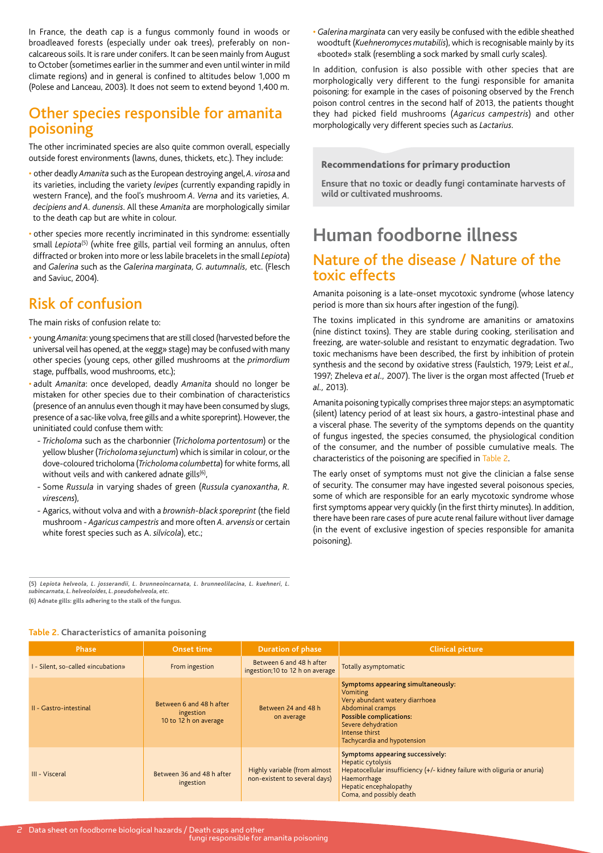In France, the death cap is a fungus commonly found in woods or broadleaved forests (especially under oak trees), preferably on noncalcareous soils. It is rare under conifers. It can be seen mainly from August to October (sometimes earlier in the summer and even until winter in mild climate regions) and in general is confined to altitudes below 1,000 m (Polese and Lanceau, 2003). It does not seem to extend beyond 1,400 m.

#### Other species responsible for amanita poisoning

The other incriminated species are also quite common overall, especially outside forest environments (lawns, dunes, thickets, etc.). They include:

- other deadly *Amanita* such as the European destroying angel, *A. virosa* and its varieties, including the variety *levipes* (currently expanding rapidly in western France), and the fool's mushroom *A. Verna* and its varieties, *A. decipiens and A. dunensis*. All these *Amanita* are morphologically similar to the death cap but are white in colour.
- other species more recently incriminated in this syndrome: essentially small *Lepiota<sup>(5)</sup>* (white free gills, partial veil forming an annulus, often diffracted or broken into more or less labile bracelets in the small *Lepiota*) and *Galerina* such as the *Galerina marginata, G. autumnalis,* etc. (Flesch and Saviuc, 2004).

### Risk of confusion

The main risks of confusion relate to:

- young *Amanita*: young specimens that are still closed (harvested before the universal veil has opened, at the «egg» stage) may be confused with many other species (young ceps, other gilled mushrooms at the *primordium* stage, puffballs, wood mushrooms, etc.);
- adult *Amanita*: once developed, deadly *Amanita* should no longer be mistaken for other species due to their combination of characteristics (presence of an annulus even though it may have been consumed by slugs, presence of a sac-like volva, free gills and a white sporeprint). However, the uninitiated could confuse them with:
	- *Tricholoma* such as the charbonnier (*Tricholoma portentosum*) or the yellow blusher (*Tricholoma sejunctum*) which is similar in colour, or the dove-coloured tricholoma (*Tricholoma columbetta*) for white forms, all without veils and with cankered adnate gills $(6)$ ,
	- Some *Russula* in varying shades of green (*Russula cyanoxantha, R. virescens*),
	- Agarics, without volva and with a *brownish-black sporeprint* (the field mushroom - *Agaricus campestris* and more often *A. arvensis* or certain white forest species such as A. *silvicola*), etc.;

• *Galerina marginata* can very easily be confused with the edible sheathed woodtuft (*Kuehneromyces mutabilis*), which is recognisable mainly by its «booted» stalk (resembling a sock marked by small curly scales).

In addition, confusion is also possible with other species that are morphologically very different to the fungi responsible for amanita poisoning: for example in the cases of poisoning observed by the French poison control centres in the second half of 2013, the patients thought they had picked field mushrooms (*Agaricus campestris*) and other morphologically very different species such as *Lactarius*.

#### Recommendations for primary production

**Ensure that no toxic or deadly fungi contaminate harvests of wild or cultivated mushrooms.**

# **Human foodborne illness**

#### Nature of the disease / Nature of the toxic effects

Amanita poisoning is a late-onset mycotoxic syndrome (whose latency period is more than six hours after ingestion of the fungi).

The toxins implicated in this syndrome are amanitins or amatoxins (nine distinct toxins). They are stable during cooking, sterilisation and freezing, are water-soluble and resistant to enzymatic degradation. Two toxic mechanisms have been described, the first by inhibition of protein synthesis and the second by oxidative stress (Faulstich, 1979; Leist *et al.,* 1997; Zheleva *et al.,* 2007). The liver is the organ most affected (Trueb *et al.,* 2013).

Amanita poisoning typically comprises three major steps: an asymptomatic (silent) latency period of at least six hours, a gastro-intestinal phase and a visceral phase. The severity of the symptoms depends on the quantity of fungus ingested, the species consumed, the physiological condition of the consumer, and the number of possible cumulative meals. The characteristics of the poisoning are specified in Table 2.

The early onset of symptoms must not give the clinician a false sense of security. The consumer may have ingested several poisonous species, some of which are responsible for an early mycotoxic syndrome whose first symptoms appear very quickly (in the first thirty minutes). In addition, there have been rare cases of pure acute renal failure without liver damage (in the event of exclusive ingestion of species responsible for amanita poisoning).

**(5)** *Lepiota helveola, L. josserandii, L. brunneoincarnata, L. brunneolilacina, L. kuehneri, L. subincarnata, L. helveoloides, L. pseudohelveola, etc.*

**(6) Adnate gills: gills adhering to the stalk of the fungus.**

#### **Table 2. Characteristics of amanita poisoning**

| <b>Phase</b>                       | Onset time                                                     | <b>Duration of phase</b>                                      | <b>Clinical picture</b>                                                                                                                                                                                              |
|------------------------------------|----------------------------------------------------------------|---------------------------------------------------------------|----------------------------------------------------------------------------------------------------------------------------------------------------------------------------------------------------------------------|
| I - Silent, so-called «incubation» | From ingestion                                                 | Between 6 and 48 h after<br>ingestion;10 to 12 h on average   | Totally asymptomatic                                                                                                                                                                                                 |
| II - Gastro-intestinal             | Between 6 and 48 h after<br>ingestion<br>10 to 12 h on average | Between 24 and 48 h<br>on average                             | Symptoms appearing simultaneously:<br><b>Vomiting</b><br>Very abundant watery diarrhoea<br>Abdominal cramps<br><b>Possible complications:</b><br>Severe dehydration<br>Intense thirst<br>Tachycardia and hypotension |
| III - Visceral                     | Between 36 and 48 h after<br>ingestion                         | Highly variable (from almost<br>non-existent to several days) | Symptoms appearing successively:<br>Hepatic cytolysis<br>Hepatocellular insufficiency (+/- kidney failure with oliguria or anuria)<br>Haemorrhage<br>Hepatic encephalopathy<br>Coma, and possibly death              |

fungi responsible for amanita poisoning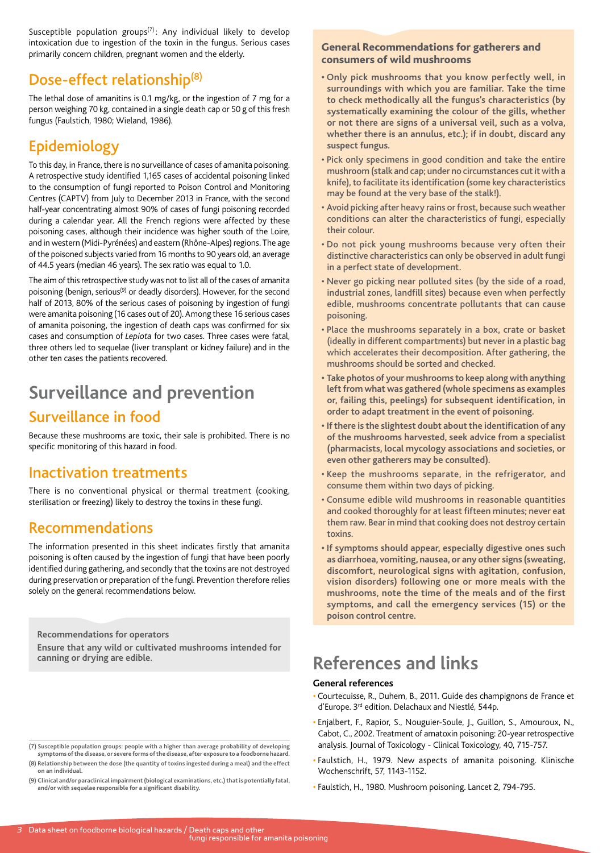Susceptible population groups $(7)$ : Any individual likely to develop intoxication due to ingestion of the toxin in the fungus. Serious cases primarily concern children, pregnant women and the elderly.

### Dose-effect relationship(8)

The lethal dose of amanitins is 0.1 mg/kg, or the ingestion of 7 mg for a person weighing 70 kg, contained in a single death cap or 50 g of this fresh fungus (Faulstich, 1980; Wieland, 1986).

## Epidemiology

To this day, in France, there is no surveillance of cases of amanita poisoning. A retrospective study identified 1,165 cases of accidental poisoning linked to the consumption of fungi reported to Poison Control and Monitoring Centres (CAPTV) from July to December 2013 in France, with the second half-year concentrating almost 90% of cases of fungi poisoning recorded during a calendar year. All the French regions were affected by these poisoning cases, although their incidence was higher south of the Loire, and in western (Midi-Pyrénées) and eastern (Rhône-Alpes) regions. The age of the poisoned subjects varied from 16 months to 90 years old, an average of 44.5 years (median 46 years). The sex ratio was equal to 1.0.

The aim of this retrospective study was not to list all of the cases of amanita poisoning (benign, serious<sup>(9)</sup> or deadly disorders). However, for the second half of 2013, 80% of the serious cases of poisoning by ingestion of fungi were amanita poisoning (16 cases out of 20). Among these 16 serious cases of amanita poisoning, the ingestion of death caps was confirmed for six cases and consumption of *Lepiota* for two cases. Three cases were fatal, three others led to sequelae (liver transplant or kidney failure) and in the other ten cases the patients recovered.

# **Surveillance and prevention**

### Surveillance in food

Because these mushrooms are toxic, their sale is prohibited. There is no specific monitoring of this hazard in food.

### Inactivation treatments

There is no conventional physical or thermal treatment (cooking, sterilisation or freezing) likely to destroy the toxins in these fungi.

### Recommendations

The information presented in this sheet indicates firstly that amanita poisoning is often caused by the ingestion of fungi that have been poorly identified during gathering, and secondly that the toxins are not destroyed during preservation or preparation of the fungi. Prevention therefore relies solely on the general recommendations below.

**Recommendations for operators**

**Ensure that any wild or cultivated mushrooms intended for canning or drying are edible.**

## **(7) Susceptible population groups: people with a higher than average probability of developing symptoms of the disease, or severe forms of the disease, after exposure to a foodborne hazard.**

**(8) Relationship between the dose (the quantity of toxins ingested during a meal) and the effect on an individual.**

**(9) Clinical and/or paraclinical impairment (biological examinations, etc.) that is potentially fatal, and/or with sequelae responsible for a significant disability.**

#### General Recommendations for gatherers and consumers of wild mushrooms

- **Only pick mushrooms that you know perfectly well, in surroundings with which you are familiar. Take the time to check methodically all the fungus's characteristics (by systematically examining the colour of the gills, whether or not there are signs of a universal veil, such as a volva, whether there is an annulus, etc.); if in doubt, discard any suspect fungus.**
- Pick only specimens in good condition and take the entire mushroom (stalk and cap; under no circumstances cut it with a knife), to facilitate its identification (some key characteristics may be found at the very base of the stalk!).
- Avoid picking after heavy rains or frost, because such weather conditions can alter the characteristics of fungi, especially their colour.
- Do not pick young mushrooms because very often their distinctive characteristics can only be observed in adult fungi in a perfect state of development.
- Never go picking near polluted sites (by the side of a road, industrial zones, landfill sites) because even when perfectly edible, mushrooms concentrate pollutants that can cause poisoning.
- Place the mushrooms separately in a box, crate or basket (ideally in different compartments) but never in a plastic bag which accelerates their decomposition. After gathering, the mushrooms should be sorted and checked.
- **Take photos of your mushrooms to keep along with anything left from what was gathered (whole specimens as examples or, failing this, peelings) for subsequent identification, in order to adapt treatment in the event of poisoning.**
- **If there is the slightest doubt about the identification of any of the mushrooms harvested, seek advice from a specialist (pharmacists, local mycology associations and societies, or even other gatherers may be consulted).**
- Keep the mushrooms separate, in the refrigerator, and consume them within two days of picking.
- Consume edible wild mushrooms in reasonable quantities and cooked thoroughly for at least fifteen minutes; never eat them raw. Bear in mind that cooking does not destroy certain toxins.
- **If symptoms should appear, especially digestive ones such as diarrhoea, vomiting, nausea, or any other signs (sweating, discomfort, neurological signs with agitation, confusion, vision disorders) following one or more meals with the mushrooms, note the time of the meals and of the first symptoms, and call the emergency services (15) or the poison control centre.**

# **References and links**

#### **General references**

- Courtecuisse, R., Duhem, B., 2011. Guide des champignons de France et d'Europe. 3rd edition. Delachaux and Niestlé, 544p.
- Enjalbert, F., Rapior, S., Nouguier-Soule, J., Guillon, S., Amouroux, N., Cabot, C., 2002. Treatment of amatoxin poisoning: 20-year retrospective analysis. Journal of Toxicology - Clinical Toxicology, 40, 715-757.
- Faulstich, H., 1979. New aspects of amanita poisoning. Klinische Wochenschrift, 57, 1143-1152.
- Faulstich, H., 1980. Mushroom poisoning. Lancet 2, 794-795.

fungi responsible for amanita poisoning